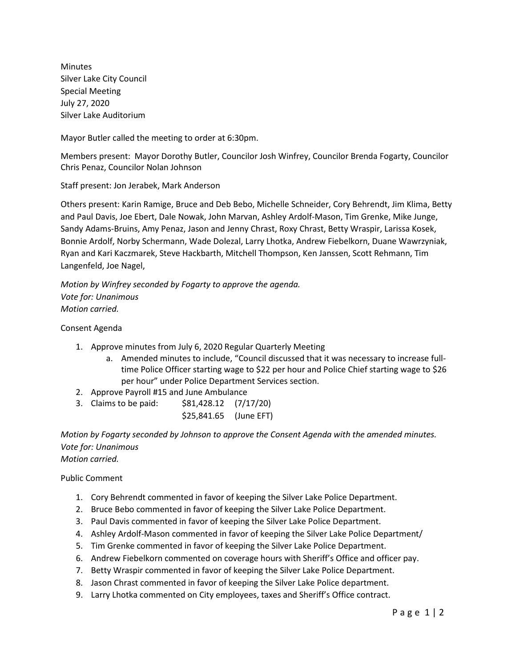Minutes Silver Lake City Council Special Meeting July 27, 2020 Silver Lake Auditorium

Mayor Butler called the meeting to order at 6:30pm.

Members present: Mayor Dorothy Butler, Councilor Josh Winfrey, Councilor Brenda Fogarty, Councilor Chris Penaz, Councilor Nolan Johnson

Staff present: Jon Jerabek, Mark Anderson

Others present: Karin Ramige, Bruce and Deb Bebo, Michelle Schneider, Cory Behrendt, Jim Klima, Betty and Paul Davis, Joe Ebert, Dale Nowak, John Marvan, Ashley Ardolf-Mason, Tim Grenke, Mike Junge, Sandy Adams-Bruins, Amy Penaz, Jason and Jenny Chrast, Roxy Chrast, Betty Wraspir, Larissa Kosek, Bonnie Ardolf, Norby Schermann, Wade Dolezal, Larry Lhotka, Andrew Fiebelkorn, Duane Wawrzyniak, Ryan and Kari Kaczmarek, Steve Hackbarth, Mitchell Thompson, Ken Janssen, Scott Rehmann, Tim Langenfeld, Joe Nagel,

*Motion by Winfrey seconded by Fogarty to approve the agenda. Vote for: Unanimous Motion carried.*

## Consent Agenda

- 1. Approve minutes from July 6, 2020 Regular Quarterly Meeting
	- a. Amended minutes to include, "Council discussed that it was necessary to increase fulltime Police Officer starting wage to \$22 per hour and Police Chief starting wage to \$26 per hour" under Police Department Services section.
- 2. Approve Payroll #15 and June Ambulance
- 3. Claims to be paid: \$81,428.12 (7/17/20)
	- \$25,841.65 (June EFT)

*Motion by Fogarty seconded by Johnson to approve the Consent Agenda with the amended minutes. Vote for: Unanimous Motion carried.*

Public Comment

- 1. Cory Behrendt commented in favor of keeping the Silver Lake Police Department.
- 2. Bruce Bebo commented in favor of keeping the Silver Lake Police Department.
- 3. Paul Davis commented in favor of keeping the Silver Lake Police Department.
- 4. Ashley Ardolf-Mason commented in favor of keeping the Silver Lake Police Department/
- 5. Tim Grenke commented in favor of keeping the Silver Lake Police Department.
- 6. Andrew Fiebelkorn commented on coverage hours with Sheriff's Office and officer pay.
- 7. Betty Wraspir commented in favor of keeping the Silver Lake Police Department.
- 8. Jason Chrast commented in favor of keeping the Silver Lake Police department.
- 9. Larry Lhotka commented on City employees, taxes and Sheriff's Office contract.